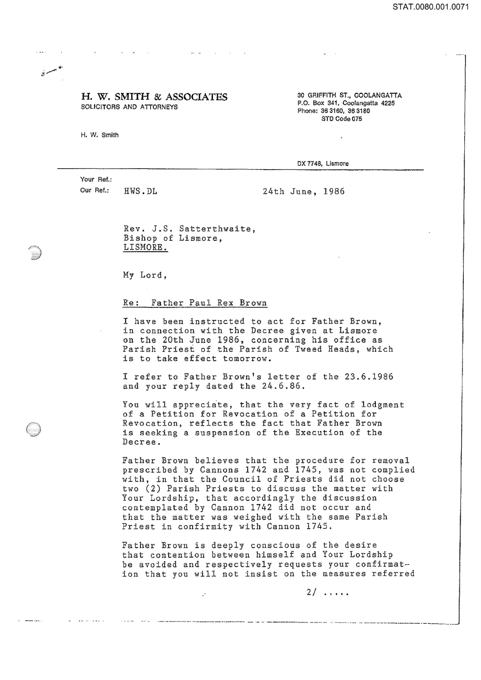STAT.0080.001.0071

## H. W. SMITH & ASSOCIATES SOLICITORS AND ATTORNEYS

H. W. Smith

مسربة

30 GRIFFITH ST., COOLANGATTA P.O. Box 341, Coolangatta 4225 Phone: 36 3160, 36 3180 STO Code 075

 $\lambda$ 

OX 7748, Lismore

Your Ref.: Our Ref.: HWS.DL

24th June, 1986

Rev. J.S. Satterthwaite, Bishop of Lismore, LISMORE.

My Lord,

## Re: Father Paul Rex Brown

I have been instructed to act for Father Brown, in connection with the Decree given at Lismore on the 20th June 1986, concerning his office as Parish Priest of the Parish of Tweed Heads, which is to take effect tomorrow.

I refer to Father Brown's letter of the 23.6.1986 and your reply dated the 24.6.86.

You will appreciate, that the very fact of lodgment of a Petition for Revocation of a Petition for Revocation, reflects the fact that Father Brown is seeking a suspension of the Execution of the Decree.

Father Brown believes that the procedure for removal prescribed by Cannons 1742 and 1745, was not complied with, in that the Council of Priests did not choose two (2) Parish Priests to discuss the matter with Your Lordship, that accordingly the discussion contemplated by Cannon 1742 did not occur and that the matter was weighed with the same Parish Priest in confirmity with Cannon 1745.

Father Brown is deeply conscious of the desire that contention between himself and Your Lordship be avoided and respectively requests your confirmation that you will not insist on the measures referred

• - . - - - --- - . ~ .. \_\_ ..... \_\_\_\_ • \_\_\_ \_\_ ~ - \_ \_ o •• \_ . \_ \_\_\_\_ \_\_\_\_ • \_. \_ ••• \_\_

 $\ddot{\phantom{a}}$ 

2/ .....

---- -- -- -- ---~ .. ~--.--------.......